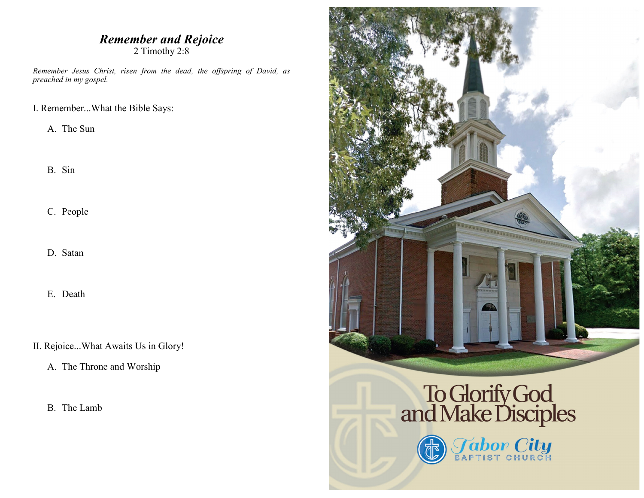### *Remember and Rejoice* 2 Timothy 2:8

*Remember Jesus Christ, risen from the dead, the offspring of David, as preached in my gospel.*

I. Remember...What the Bible Says:

A. The Sun

B. Sin

C. People

D. Satan

E. Death

II. Rejoice...What Awaits Us in Glory!

A. The Throne and Worship

B. The Lamb



# To Glorify God<br>and Make Disciples